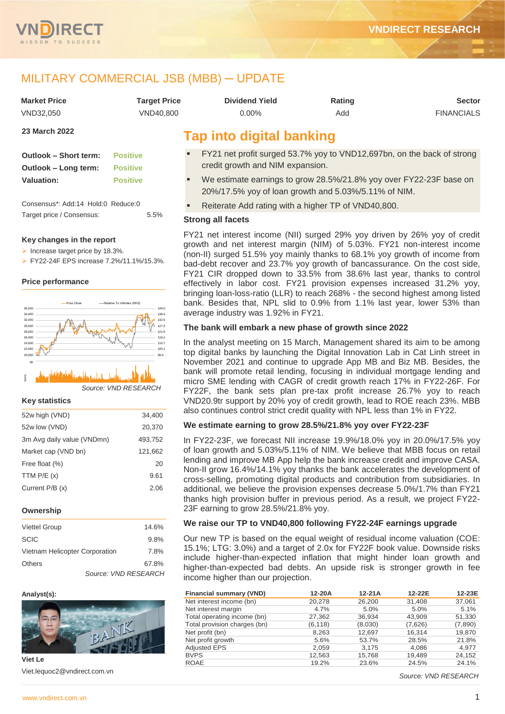

# MILITARY COMMERCIAL JSB (MBB) ─ UPDATE

| <b>Market Price</b> | <b>Target Price</b> | <b>Dividend Yield</b> | Rating | <b>Sector</b>     |
|---------------------|---------------------|-----------------------|--------|-------------------|
| VND32.050           | VND40.800           | 0.00%                 | Add    | <b>FINANCIALS</b> |
| $00.88 - 1.0000$    |                     |                       |        |                   |

# **23 March 2022**

| Outlook - Short term: | <b>Positive</b> |
|-----------------------|-----------------|
| Outlook - Long term:  | <b>Positive</b> |
| <b>Valuation:</b>     | <b>Positive</b> |

Consensus\*: Add:14 Hold:0 Reduce:0 Target price / Consensus: 5.5%

#### **Key changes in the report**

- Increase target price by 18.3%.
- FY22-24F EPS increase 7.2%/11.1%/15.3%.

#### **Price performance**



# *Source: VND RESEARCH* 03-21 05-21 07-21 09-21 11-21 01-22 Vol m 20

#### **Key statistics**

| 52w high (VND)             | 34,400  |
|----------------------------|---------|
| 52w low (VND)              | 20,370  |
| 3m Avg daily value (VNDmn) | 493,752 |
| Market cap (VND bn)        | 121,662 |
| Free float (%)             | 20      |
| TTM $P/E(x)$               | 9.61    |
| Current P/B (x)            | 2.06    |
|                            |         |

#### **Ownership**

| <b>Viettel Group</b>           | 14.6%                |
|--------------------------------|----------------------|
| <b>SCIC</b>                    | 9.8%                 |
| Vietnam Helicopter Corporation | 7.8%                 |
| Others                         | 67.8%                |
|                                | Source: VND RESEARCH |

#### **Analyst(s):**



**Viet Le** Viet.lequoc2@vndirect.com.vn

# **Tap into digital banking**

- FY21 net profit surged 53.7% yoy to VND12,697bn, on the back of strong credit growth and NIM expansion.
- We estimate earnings to grow 28.5%/21.8% yoy over FY22-23F base on 20%/17.5% yoy of loan growth and 5.03%/5.11% of NIM.
- Reiterate Add rating with a higher TP of VND40,800.

#### **Strong all facets**

FY21 net interest income (NII) surged 29% yoy driven by 26% yoy of credit growth and net interest margin (NIM) of 5.03%. FY21 non-interest income (non-II) surged 51.5% yoy mainly thanks to 68.1% yoy growth of income from bad-debt recover and 23.7% yoy growth of bancassurance. On the cost side, FY21 CIR dropped down to 33.5% from 38.6% last year, thanks to control effectively in labor cost. FY21 provision expenses increased 31.2% yoy, bringing loan-loss-ratio (LLR) to reach 268% - the second highest among listed bank. Besides that, NPL slid to 0.9% from 1.1% last year, lower 53% than average industry was 1.92% in FY21.

#### **The bank will embark a new phase of growth since 2022**

In the analyst meeting on 15 March, Management shared its aim to be among top digital banks by launching the Digital Innovation Lab in Cat Linh street in November 2021 and continue to upgrade App MB and Biz MB. Besides, the bank will promote retail lending, focusing in individual mortgage lending and micro SME lending with CAGR of credit growth reach 17% in FY22-26F. For FY22F, the bank sets plan pre-tax profit increase 26.7% yoy to reach VND20.9tr support by 20% yoy of credit growth, lead to ROE reach 23%. MBB also continues control strict credit quality with NPL less than 1% in FY22.

#### **We estimate earning to grow 28.5%/21.8% yoy over FY22-23F**

In FY22-23F, we forecast NII increase 19.9%/18.0% yoy in 20.0%/17.5% yoy of loan growth and 5.03%/5.11% of NIM. We believe that MBB focus on retail lending and improve MB App help the bank increase credit and improve CASA. Non-II grow 16.4%/14.1% yoy thanks the bank accelerates the development of cross-selling, promoting digital products and contribution from subsidiaries. In additional, we believe the provision expenses decrease 5.0%/1.7% than FY21 thanks high provision buffer in previous period. As a result, we project FY22- 23F earning to grow 28.5%/21.8% yoy.

#### **We raise our TP to VND40,800 following FY22-24F earnings upgrade**

Our new TP is based on the equal weight of residual income valuation (COE: 15.1%; LTG: 3.0%) and a target of 2.0x for FY22F book value. Downside risks include higher-than-expected inflation that might hinder loan growth and higher-than-expected bad debts. An upside risk is stronger growth in fee income higher than our projection.

| Financial summary (VND)      | 12-20A   | $12-21A$ | 12-22E  | 12-23E  |
|------------------------------|----------|----------|---------|---------|
| Net interest income (bn)     | 20,278   | 26,200   | 31,408  | 37,061  |
| Net interest margin          | 4.7%     | 5.0%     | 5.0%    | 5.1%    |
| Total operating income (bn)  | 27,362   | 36,934   | 43.909  | 51,330  |
| Total provision charges (bn) | (6, 118) | (8,030)  | (7,626) | (7,890) |
| Net profit (bn)              | 8,263    | 12,697   | 16.314  | 19,870  |
| Net profit growth            | 5.6%     | 53.7%    | 28.5%   | 21.8%   |
| <b>Adjusted EPS</b>          | 2,059    | 3.175    | 4,086   | 4,977   |
| <b>BVPS</b>                  | 12,563   | 15.768   | 19.489  | 24,152  |
| <b>ROAE</b>                  | 19.2%    | 23.6%    | 24.5%   | 24.1%   |

*Source: VND RESEARCH*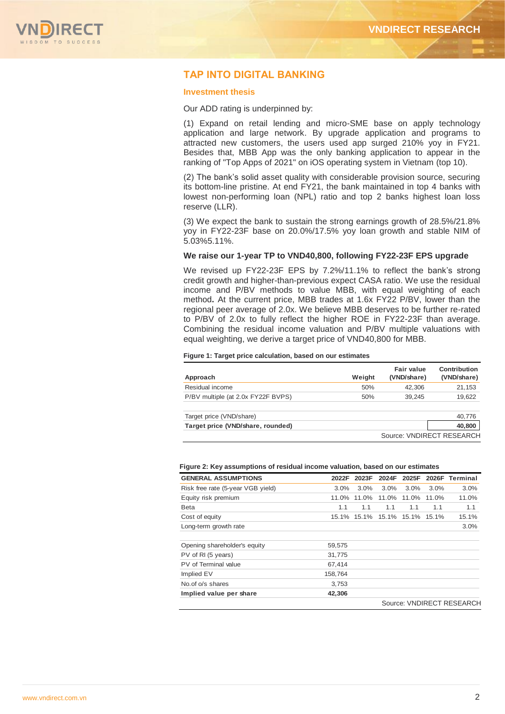

# **TAP INTO DIGITAL BANKING**

#### **Investment thesis**

Our ADD rating is underpinned by:

(1) Expand on retail lending and micro-SME base on apply technology application and large network. By upgrade application and programs to attracted new customers, the users used app surged 210% yoy in FY21. Besides that, MBB App was the only banking application to appear in the ranking of "Top Apps of 2021" on iOS operating system in Vietnam (top 10).

(2) The bank's solid asset quality with considerable provision source, securing its bottom-line pristine. At end FY21, the bank maintained in top 4 banks with lowest non-performing loan (NPL) ratio and top 2 banks highest loan loss reserve (LLR).

(3) We expect the bank to sustain the strong earnings growth of 28.5%/21.8% yoy in FY22-23F base on 20.0%/17.5% yoy loan growth and stable NIM of 5.03%5.11%.

#### **We raise our 1-year TP to VND40,800, following FY22-23F EPS upgrade**

We revised up FY22-23F EPS by 7.2%/11.1% to reflect the bank's strong credit growth and higher-than-previous expect CASA ratio. We use the residual income and P/BV methods to value MBB, with equal weighting of each method**.** At the current price, MBB trades at 1.6x FY22 P/BV, lower than the regional peer average of 2.0x. We believe MBB deserves to be further re-rated to P/BV of 2.0x to fully reflect the higher ROE in FY22-23F than average. Combining the residual income valuation and P/BV multiple valuations with equal weighting, we derive a target price of VND40,800 for MBB.

#### **Figure 1: Target price calculation, based on our estimates**

| Approach                           | Weight | Fair value<br>(VND/share) | Contribution<br>(VND/share) |
|------------------------------------|--------|---------------------------|-----------------------------|
| Residual income                    | 50%    | 42,306                    | 21,153                      |
| P/BV multiple (at 2.0x FY22F BVPS) | 50%    | 39.245                    | 19,622                      |
| Target price (VND/share)           |        |                           | 40,776                      |
| Target price (VND/share, rounded)  |        |                           | 40,800                      |
|                                    |        |                           | Source: VNDIRECT RESEARCH   |

#### **Figure 2: Key assumptions of residual income valuation, based on our estimates**

| <b>GENERAL ASSUMPTIONS</b>        | 2022F   | 2023F | 2024F                         | 2025F |       | 2026F Terminal            |
|-----------------------------------|---------|-------|-------------------------------|-------|-------|---------------------------|
| Risk free rate (5-year VGB yield) | $3.0\%$ | 3.0%  | 3.0%                          | 3.0%  | 3.0%  | 3.0%                      |
| Equity risk premium               | 11.0%   | 11.0% | 11.0%                         | 11.0% | 11.0% | 11.0%                     |
| <b>Beta</b>                       | 1.1     | 1.1   | 1.1                           | 1.1   | 1.1   | 1.1                       |
| Cost of equity                    |         |       | 15.1% 15.1% 15.1% 15.1% 15.1% |       |       | 15.1%                     |
| Long-term growth rate             |         |       |                               |       |       | 3.0%                      |
| Opening shareholder's equity      | 59,575  |       |                               |       |       |                           |
| PV of RI (5 years)                | 31,775  |       |                               |       |       |                           |
| PV of Terminal value              | 67,414  |       |                               |       |       |                           |
| Implied EV                        | 158,764 |       |                               |       |       |                           |
| No. of o/s shares                 | 3.753   |       |                               |       |       |                           |
| Implied value per share           | 42,306  |       |                               |       |       |                           |
|                                   |         |       |                               |       |       | Source: VNDIRECT RESEARCH |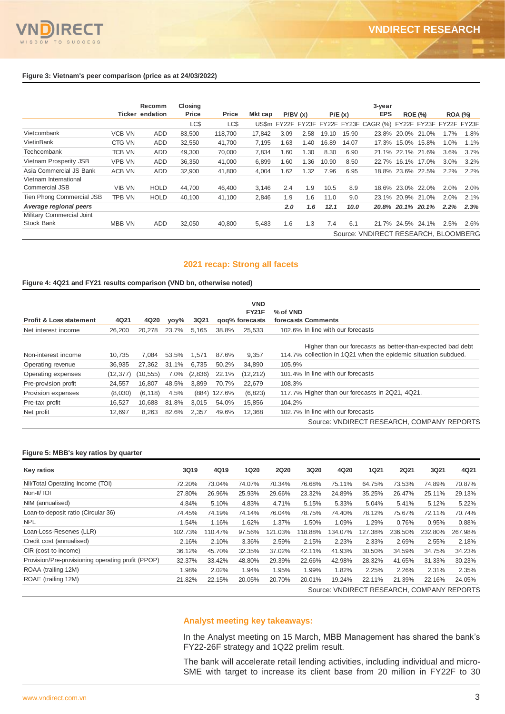

|                           |               | <b>Recomm</b>          | Closing |         |         |      |         |       |        | 3-year                                                         |                   |             |                |      |
|---------------------------|---------------|------------------------|---------|---------|---------|------|---------|-------|--------|----------------------------------------------------------------|-------------------|-------------|----------------|------|
|                           |               | <b>Ticker endation</b> | Price   | Price   | Mkt cap |      | P/BV(x) |       | P/E(x) | EPS                                                            | <b>ROE (%)</b>    |             | <b>ROA (%)</b> |      |
|                           |               |                        | LC\$    | LC\$    |         |      |         |       |        | US\$m FY22F FY23F FY22F FY23F CAGR (%) FY22F FY23F FY22F FY23F |                   |             |                |      |
| Vietcombank               | <b>VCB VN</b> | <b>ADD</b>             | 83,500  | 118,700 | 17,842  | 3.09 | 2.58    | 19.10 | 15.90  |                                                                | 23.8% 20.0% 21.0% |             | 1.7%           | 1.8% |
| VietinBank                | CTG VN        | <b>ADD</b>             | 32.550  | 41.700  | 7.195   | .63  | 1.40    | 16.89 | 14.07  | 17.3%                                                          | 15.0%             | 15.8%       | 1.0%           | 1.1% |
| Techcombank               | <b>TCB VN</b> | <b>ADD</b>             | 49,300  | 70,000  | 7,834   | .60  | 1.30    | 8.30  | 6.90   |                                                                | 21.1% 22.1% 21.6% |             | 3.6%           | 3.7% |
| Vietnam Prosperity JSB    | <b>VPB VN</b> | <b>ADD</b>             | 36,350  | 41,000  | 6,899   | .60  | 1.36    | 10.90 | 8.50   | 22.7%                                                          |                   | 16.1% 17.0% | 3.0%           | 3.2% |
| Asia Commercial JS Bank   | ACB VN        | <b>ADD</b>             | 32,900  | 41,800  | 4,004   | .62  | 1.32    | 7.96  | 6.95   |                                                                | 18.8% 23.6% 22.5% |             | 2.2%           | 2.2% |
| Vietnam International     |               |                        |         |         |         |      |         |       |        |                                                                |                   |             |                |      |
| <b>Commercial JSB</b>     | <b>VIB VN</b> | <b>HOLD</b>            | 44.700  | 46,400  | 3,146   | 2.4  | 1.9     | 10.5  | 8.9    |                                                                | 18.6% 23.0% 22.0% |             | 2.0%           | 2.0% |
| Tien Phong Commercial JSB | TPB VN        | <b>HOLD</b>            | 40.100  | 41,100  | 2.846   | 1.9  | 1.6     | 11.0  | 9.0    |                                                                | 23.1% 20.9% 21.0% |             | 2.0%           | 2.1% |
| A verage regional peers   |               |                        |         |         |         | 2.0  | 1.6     | 12.1  | 10.0   |                                                                | 20.8% 20.1% 20.1% |             | 2.2%           | 2.3% |
| Military Commercial Joint |               |                        |         |         |         |      |         |       |        |                                                                |                   |             |                |      |
| <b>Stock Bank</b>         | MBB VN        | <b>ADD</b>             | 32,050  | 40,800  | 5,483   | 1.6  | 1.3     | 7.4   | 6.1    |                                                                | 21.7% 24.5% 24.1% |             | 2.5%           | 2.6% |
|                           |               |                        |         |         |         |      |         |       |        | Source: VNDIRECT RESEARCH, BLOOMBERG                           |                   |             |                |      |

### **2021 recap: Strong all facets**

#### **Figure 4: 4Q21 and FY21 results comparison (VND bn, otherwise noted)**

|                                    |           |           |       |         |              | <b>VND</b><br><b>FY21F</b> | % of VND                                                                                                                     |
|------------------------------------|-----------|-----------|-------|---------|--------------|----------------------------|------------------------------------------------------------------------------------------------------------------------------|
| <b>Profit &amp; Loss statement</b> | 4Q21      | 4Q20      | vov%  | 3Q21    |              | gog% forecasts             | forecasts Comments                                                                                                           |
| Net interest income                | 26,200    | 20.278    | 23.7% | 5.165   | 38.8%        | 25.533                     | 102.6% In line with our forecasts                                                                                            |
| Non-interest income                | 10.735    | 7.084     | 53.5% | 1.571   | 87.6%        | 9.357                      | Higher than our forecasts as better-than-expected bad debt<br>114.7% collection in 1Q21 when the epidemic situation subdued. |
| Operating revenue                  | 36.935    | 27.362    | 31.1% | 6.735   | 50.2%        | 34.890                     | 105.9%                                                                                                                       |
| Operating expenses                 | (12, 377) | (10, 555) | 7.0%  | (2,836) | 22.1%        | (12, 212)                  | 101.4% In line with our forecasts                                                                                            |
| Pre-provision profit               | 24.557    | 16.807    | 48.5% | 3.899   | 70.7%        | 22.679                     | 108.3%                                                                                                                       |
| Provision expenses                 | (8,030)   | (6, 118)  | 4.5%  |         | (884) 127.6% | (6, 823)                   | 117.7% Higher than our forecasts in 2Q21, 4Q21.                                                                              |
| Pre-tax profit                     | 16.527    | 10.688    | 81.8% | 3,015   | 54.0%        | 15,856                     | 104.2%                                                                                                                       |
| Net profit                         | 12.697    | 8,263     | 82.6% | 2,357   | 49.6%        | 12,368                     | 102.7% In line with our forecasts                                                                                            |
|                                    |           |           |       |         |              |                            | Source: VNDIRECT RESEARCH, COMPANY REPORTS                                                                                   |

#### **Figure 5: MBB's key ratios by quarter**

| Key ratios                                         | 3Q19    | 4Q19    | <b>1Q20</b> | <b>2Q20</b> | <b>3Q20</b> | 4Q20    | <b>1Q21</b> | <b>2Q21</b> | 3Q21                                       | 4Q21    |
|----------------------------------------------------|---------|---------|-------------|-------------|-------------|---------|-------------|-------------|--------------------------------------------|---------|
| NII/Total Operating Income (TOI)                   | 72.20%  | 73.04%  | 74.07%      | 70.34%      | 76.68%      | 75.11%  | 64.75%      | 73.53%      | 74.89%                                     | 70.87%  |
| Non-II/TOI                                         | 27.80%  | 26.96%  | 25.93%      | 29.66%      | 23.32%      | 24.89%  | 35.25%      | 26.47%      | 25.11%                                     | 29.13%  |
| NIM (annualised)                                   | 4.84%   | 5.10%   | 4.83%       | 4.71%       | 5.15%       | 5.33%   | 5.04%       | 5.41%       | 5.12%                                      | 5.22%   |
| Loan-to-deposit ratio (Circular 36)                | 74.45%  | 74.19%  | 74.14%      | 76.04%      | 78.75%      | 74.40%  | 78.12%      | 75.67%      | 72.11%                                     | 70.74%  |
| <b>NPL</b>                                         | 1.54%   | 1.16%   | 1.62%       | 1.37%       | 1.50%       | 1.09%   | 1.29%       | 0.76%       | 0.95%                                      | 0.88%   |
| Loan-Loss-Reserves (LLR)                           | 102.73% | 110.47% | 97.56%      | 121.03%     | 118.88%     | 134.07% | 127.38%     | 236.50%     | 232.80%                                    | 267.98% |
| Credit cost (annualised)                           | 2.16%   | 2.10%   | 3.36%       | 2.59%       | 2.15%       | 2.23%   | 2.33%       | 2.69%       | 2.55%                                      | 2.18%   |
| CIR (cost-to-income)                               | 36.12%  | 45.70%  | 32.35%      | 37.02%      | 42.11%      | 41.93%  | 30.50%      | 34.59%      | 34.75%                                     | 34.23%  |
| Provision/Pre-provisioning operating profit (PPOP) | 32.37%  | 33.42%  | 48.80%      | 29.39%      | 22.66%      | 42.98%  | 28.32%      | 41.65%      | 31.33%                                     | 30.23%  |
| ROAA (trailing 12M)                                | 1.98%   | 2.02%   | 1.94%       | 1.95%       | 1.99%       | 1.82%   | 2.25%       | 2.26%       | 2.31%                                      | 2.35%   |
| ROAE (trailing 12M)                                | 21.82%  | 22.15%  | 20.05%      | 20.70%      | 20.01%      | 19.24%  | 22.11%      | 21.39%      | 22.16%                                     | 24.05%  |
|                                                    |         |         |             |             |             |         |             |             | Source: VNDIRECT RESEARCH, COMPANY REPORTS |         |

#### **Analyst meeting key takeaways:**

In the Analyst meeting on 15 March, MBB Management has shared the bank's FY22-26F strategy and 1Q22 prelim result.

The bank will accelerate retail lending activities, including individual and micro-SME with target to increase its client base from 20 million in FY22F to 30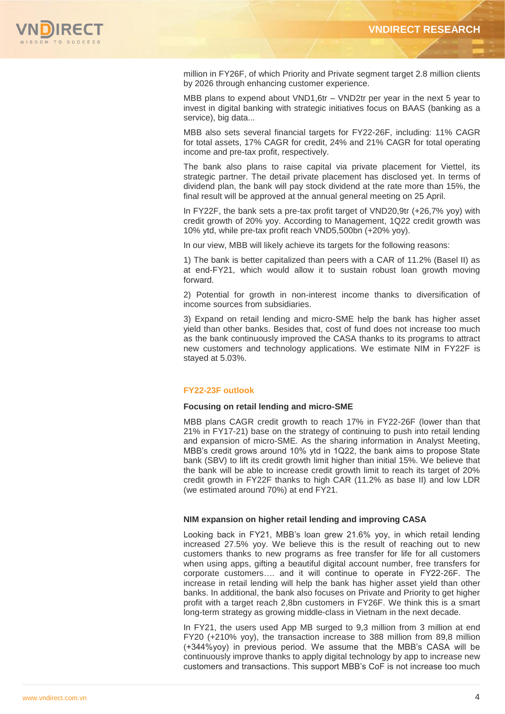

million in FY26F, of which Priority and Private segment target 2.8 million clients by 2026 through enhancing customer experience.

MBB plans to expend about VND1,6tr – VND2tr per year in the next 5 year to invest in digital banking with strategic initiatives focus on BAAS (banking as a service), big data...

MBB also sets several financial targets for FY22-26F, including: 11% CAGR for total assets, 17% CAGR for credit, 24% and 21% CAGR for total operating income and pre-tax profit, respectively.

The bank also plans to raise capital via private placement for Viettel, its strategic partner. The detail private placement has disclosed yet. In terms of dividend plan, the bank will pay stock dividend at the rate more than 15%, the final result will be approved at the annual general meeting on 25 April.

In FY22F, the bank sets a pre-tax profit target of VND20,9tr (+26,7% yoy) with credit growth of 20% yoy. According to Management, 1Q22 credit growth was 10% ytd, while pre-tax profit reach VND5,500bn (+20% yoy).

In our view, MBB will likely achieve its targets for the following reasons:

1) The bank is better capitalized than peers with a CAR of 11.2% (Basel II) as at end-FY21, which would allow it to sustain robust loan growth moving forward.

2) Potential for growth in non-interest income thanks to diversification of income sources from subsidiaries.

3) Expand on retail lending and micro-SME help the bank has higher asset yield than other banks. Besides that, cost of fund does not increase too much as the bank continuously improved the CASA thanks to its programs to attract new customers and technology applications. We estimate NIM in FY22F is stayed at 5.03%.

#### **FY22-23F outlook**

#### **Focusing on retail lending and micro-SME**

MBB plans CAGR credit growth to reach 17% in FY22-26F (lower than that 21% in FY17-21) base on the strategy of continuing to push into retail lending and expansion of micro-SME. As the sharing information in Analyst Meeting, MBB's credit grows around 10% ytd in 1Q22, the bank aims to propose State bank (SBV) to lift its credit growth limit higher than initial 15%. We believe that the bank will be able to increase credit growth limit to reach its target of 20% credit growth in FY22F thanks to high CAR (11.2% as base II) and low LDR (we estimated around 70%) at end FY21.

#### **NIM expansion on higher retail lending and improving CASA**

Looking back in FY21, MBB's loan grew 21.6% yoy, in which retail lending increased 27.5% yoy. We believe this is the result of reaching out to new customers thanks to new programs as free transfer for life for all customers when using apps, gifting a beautiful digital account number, free transfers for corporate customers…. and it will continue to operate in FY22-26F. The increase in retail lending will help the bank has higher asset yield than other banks. In additional, the bank also focuses on Private and Priority to get higher profit with a target reach 2,8bn customers in FY26F. We think this is a smart long-term strategy as growing middle-class in Vietnam in the next decade.

In FY21, the users used App MB surged to 9,3 million from 3 million at end FY20 (+210% yoy), the transaction increase to 388 million from 89,8 million (+344%yoy) in previous period. We assume that the MBB's CASA will be continuously improve thanks to apply digital technology by app to increase new customers and transactions. This support MBB's CoF is not increase too much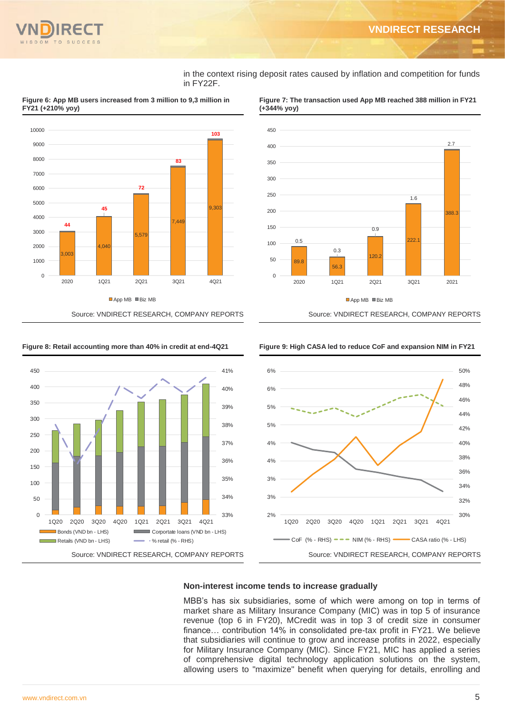in the context rising deposit rates caused by inflation and competition for funds in FY22F.



**Figure 6: App MB users increased from 3 million to 9,3 million in FY21 (+210% yoy)**



#### **Figure 7: The transaction used App MB reached 388 million in FY21 (+344% yoy)**







#### **Non-interest income tends to increase gradually**

MBB's has six subsidiaries, some of which were among on top in terms of market share as Military Insurance Company (MIC) was in top 5 of insurance revenue (top 6 in FY20), MCredit was in top 3 of credit size in consumer finance… contribution 14% in consolidated pre-tax profit in FY21. We believe that subsidiaries will continue to grow and increase profits in 2022, especially for Military Insurance Company (MIC). Since FY21, MIC has applied a series of comprehensive digital technology application solutions on the system, allowing users to "maximize" benefit when querying for details, enrolling and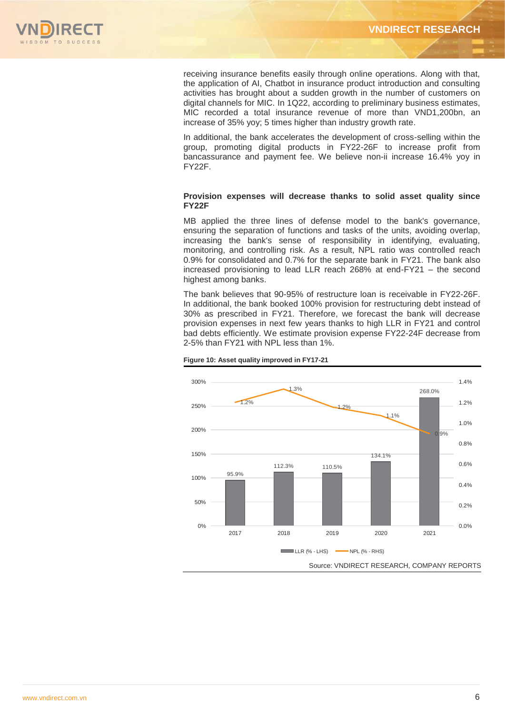

receiving insurance benefits easily through online operations. Along with that, the application of AI, Chatbot in insurance product introduction and consulting activities has brought about a sudden growth in the number of customers on digital channels for MIC. In 1Q22, according to preliminary business estimates, MIC recorded a total insurance revenue of more than VND1,200bn, an increase of 35% yoy; 5 times higher than industry growth rate.

In additional, the bank accelerates the development of cross-selling within the group, promoting digital products in FY22-26F to increase profit from bancassurance and payment fee. We believe non-ii increase 16.4% yoy in FY22F.

#### **Provision expenses will decrease thanks to solid asset quality since FY22F**

MB applied the three lines of defense model to the bank's governance, ensuring the separation of functions and tasks of the units, avoiding overlap, increasing the bank's sense of responsibility in identifying, evaluating, monitoring, and controlling risk. As a result, NPL ratio was controlled reach 0.9% for consolidated and 0.7% for the separate bank in FY21. The bank also increased provisioning to lead LLR reach 268% at end-FY21 – the second highest among banks.

The bank believes that 90-95% of restructure loan is receivable in FY22-26F. In additional, the bank booked 100% provision for restructuring debt instead of 30% as prescribed in FY21. Therefore, we forecast the bank will decrease provision expenses in next few years thanks to high LLR in FY21 and control bad debts efficiently. We estimate provision expense FY22-24F decrease from 2-5% than FY21 with NPL less than 1%.



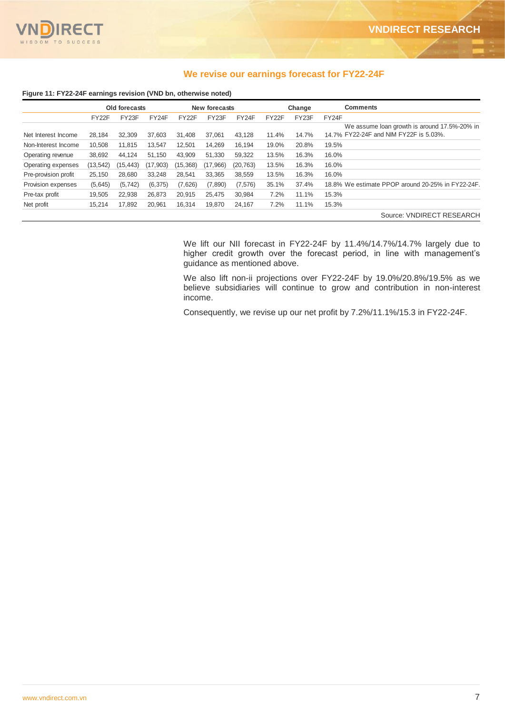

## **We revise our earnings forecast for FY22-24F**

#### **Figure 11: FY22-24F earnings revision (VND bn, otherwise noted)**

|                      | Old forecasts |           |           |                    | New forecasts |           | Change             |       | <b>Comments</b>                                   |
|----------------------|---------------|-----------|-----------|--------------------|---------------|-----------|--------------------|-------|---------------------------------------------------|
|                      | FY22F         | FY23F     | FY24F     | FY <sub>22</sub> F | FY23F         | FY24F     | FY <sub>22</sub> F | FY23F | FY24F                                             |
|                      |               |           |           |                    |               |           |                    |       | We assume loan growth is around 17.5%-20% in      |
| Net Interest Income  | 28.184        | 32.309    | 37.603    | 31.408             | 37.061        | 43.128    | 11.4%              | 14.7% | 14.7% FY22-24F and NIM FY22F is 5.03%.            |
| Non-Interest Income  | 10.508        | 11.815    | 13.547    | 12.501             | 14.269        | 16.194    | 19.0%              | 20.8% | 19.5%                                             |
| Operating revenue    | 38,692        | 44.124    | 51.150    | 43.909             | 51.330        | 59.322    | 13.5%              | 16.3% | 16.0%                                             |
| Operating expenses   | (13, 542)     | (15, 443) | (17, 903) | (15, 368)          | (17,966)      | (20, 763) | 13.5%              | 16.3% | 16.0%                                             |
| Pre-provision profit | 25.150        | 28,680    | 33.248    | 28.541             | 33.365        | 38.559    | 13.5%              | 16.3% | 16.0%                                             |
| Provision expenses   | (5,645)       | (5, 742)  | (6, 375)  | (7,626)            | (7,890)       | (7, 576)  | 35.1%              | 37.4% | 18.8% We estimate PPOP around 20-25% in FY22-24F. |
| Pre-tax profit       | 19.505        | 22.938    | 26.873    | 20.915             | 25.475        | 30.984    | 7.2%               | 11.1% | 15.3%                                             |
| Net profit           | 15.214        | 17.892    | 20.961    | 16,314             | 19.870        | 24.167    | 7.2%               | 11.1% | 15.3%                                             |
|                      |               |           |           |                    |               |           |                    |       | Source: VNDIRECT RESEARCH                         |

We lift our NII forecast in FY22-24F by 11.4%/14.7%/14.7% largely due to higher credit growth over the forecast period, in line with management's guidance as mentioned above.

We also lift non-ii projections over FY22-24F by 19.0%/20.8%/19.5% as we believe subsidiaries will continue to grow and contribution in non-interest income.

Consequently, we revise up our net profit by 7.2%/11.1%/15.3 in FY22-24F.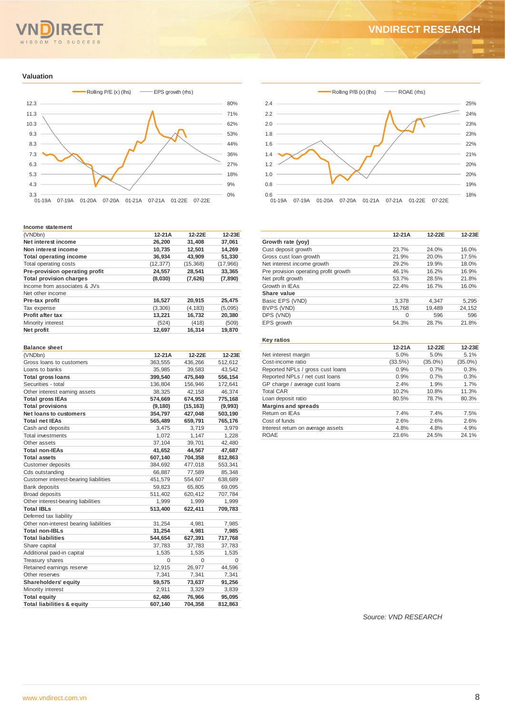# $TQ$

# **VNDIRECT RESEARCH**

#### **Valuation**



#### **Income statement**

| (VNDbn)                        | $12-21A$  | 12-22E    | 12-23E    |
|--------------------------------|-----------|-----------|-----------|
| Net interest income            | 26.200    | 31.408    | 37.061    |
| Non interest income            | 10.735    | 12,501    | 14.269    |
| <b>Total operating income</b>  | 36.934    | 43,909    | 51,330    |
| Total operating costs          | (12, 377) | (15, 368) | (17, 966) |
| Pre-provision operating profit | 24,557    | 28,541    | 33,365    |
| <b>Total provision charges</b> | (8,030)   | (7,626)   | (7,890)   |
| Income from associates & JVs   |           |           |           |
| Net other income               |           |           |           |
| Pre-tax profit                 | 16,527    | 20.915    | 25,475    |
| Tax expense                    | (3,306)   | (4, 183)  | (5,095)   |
| Profit after tax               | 13,221    | 16,732    | 20,380    |
| Minority interest              | (524)     | (418)     | (509)     |
| Net profit                     | 12,697    | 16.314    | 19.870    |

#### **Balance sheet** (VNDbn) **12-21A 12-22E 12-23E** Gross loans to customers 363,555 436,266 512,612 Loans to banks 35,985 39,583 43,542<br>
Total gross loans 399,540 475.849 556.154 **Total gross loans 399,540 475,849 556,154** Securities - total 136,804 156,946 172,641 Other interest earning assets 38,325 42,158 46,374 **Total gross IEAs 574,669 674,953 775,168 Total provisions (9,180) (15,163) (9,993) Net loans to customers 354,797 427,048 503,190**  $\overline{\text{Total net I}}$ Cash and deposits 3,475 3,719 3,979<br>Total investments 1,072 1,147 1,228 Total investments<br>
1,072 1,147 1,228<br>
1,072 1,147 1,228<br>
1,072 3,701 42,480 Other assets 37,104 39,701 42,480<br>Total non-IEAs 41,652 44,567 47,687 **Total non-IEAs 41,652 44,567 47,687**  $Total assets$ Customer deposits 384,692 477,018 553,341<br>Cds outstanding 66,887 77,589 85,341 Cds outstanding 66,887 77,589 85,348 Customer interest-bearing liabilities 451,579 554,607 638,689 Bank deposits 69,095 Broad deposits 511,402 620,412 707,784 Other interest-bearing liabilities 1,999 1,999 1,999 1,999 **Total IBLs 513,400 622,411 709,783** Deferred tax liability Other non-interest bearing liabilities 31,254 4,981 7,985 **Total non-IBLs 31,254 4,981 7,985 Total liabilities 544,654 627,391 717,768** Share capital 37,783 37,783 37,783 37,783 Additional paid-in capital 1,535 1,535 1,535 1,535 Treasury shares 0 0 0 0 Retained earnings reserve 12,915 26,977 44,596 Other reserves 2.341 7.341 7.341 7.341 **Shareholders' equity 59,575 73,637 91,256** Minority interest 2,911 3,329 3,839<br> **Total equity** 62,486 76,966 95,095  $Total$  equity **Total liabilities & equity 607,140 704,358 812,863**



|                                       | $12-21A$ | 12-22E | 12-23E |
|---------------------------------------|----------|--------|--------|
| Growth rate (yoy)                     |          |        |        |
| Cust deposit growth                   | 23.7%    | 24.0%  | 16.0%  |
| Gross cust loan growth                | 21.9%    | 20.0%  | 17.5%  |
| Net interest income growth            | 29.2%    | 19.9%  | 18.0%  |
| Pre provision operating profit growth | 46.1%    | 16.2%  | 16.9%  |
| Net profit growth                     | 53.7%    | 28.5%  | 21.8%  |
| Growth in IEAs                        | 22.4%    | 16.7%  | 16.0%  |
| Share value                           |          |        |        |
| Basic EPS (VND)                       | 3,378    | 4,347  | 5,295  |
| BVPS (VND)                            | 15.768   | 19.489 | 24,152 |
| DPS (VND)                             | $\Omega$ | 596    | 596    |
| EPS growth                            | 54.3%    | 28.7%  | 21.8%  |
|                                       |          |        |        |

#### **Key ratios**

|                                   | $12-21A$ | 12-22E     | 12-23E     |
|-----------------------------------|----------|------------|------------|
| Net interest margin               | 5.0%     | 5.0%       | 5.1%       |
| Cost-income ratio                 | (33.5%)  | $(35.0\%)$ | $(35.0\%)$ |
| Reported NPLs / gross cust loans  | 0.9%     | 0.7%       | 0.3%       |
| Reported NPLs / net cust loans    | 0.9%     | 0.7%       | 0.3%       |
| GP charge / average cust loans    | 2.4%     | 1.9%       | 1.7%       |
| <b>Total CAR</b>                  | 10.2%    | 10.8%      | 11.3%      |
| Loan deposit ratio                | 80.5%    | 78.7%      | 80.3%      |
| <b>Margins and spreads</b>        |          |            |            |
| Return on IEAs                    | 7.4%     | 7.4%       | 7.5%       |
| Cost of funds                     | 2.6%     | 2.6%       | 2.6%       |
| Interest return on average assets | 4.8%     | 4.8%       | 4.9%       |
| <b>ROAE</b>                       | 23.6%    | 24.5%      | 24.1%      |

*Source: VND RESEARCH*